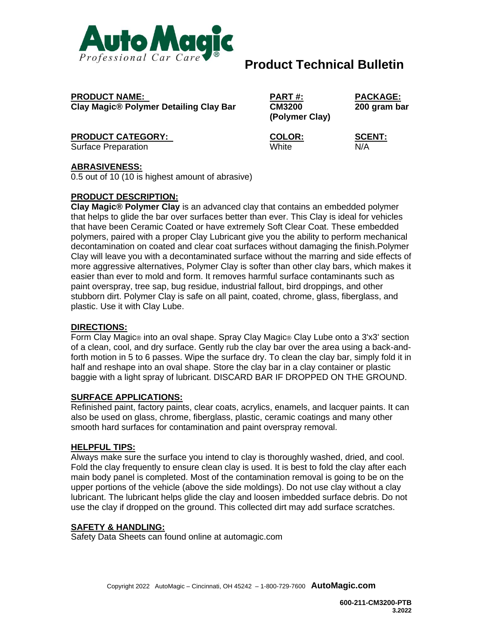

# **Product Technical Bulletin**

**PRODUCT NAME: PART #: PACKAGE: Clay Magic® Polymer Detailing Clay Bar CM3200 200 gram bar**

**PRODUCT CATEGORY: COLOR: SCENT:** 

Surface Preparation White N/A

**(Polymer Clay)**

## **ABRASIVENESS:**

0.5 out of 10 (10 is highest amount of abrasive)

#### **PRODUCT DESCRIPTION:**

**Clay Magic® Polymer Clay** is an advanced clay that contains an embedded polymer that helps to glide the bar over surfaces better than ever. This Clay is ideal for vehicles that have been Ceramic Coated or have extremely Soft Clear Coat. These embedded polymers, paired with a proper Clay Lubricant give you the ability to perform mechanical decontamination on coated and clear coat surfaces without damaging the finish.Polymer Clay will leave you with a decontaminated surface without the marring and side effects of more aggressive alternatives, Polymer Clay is softer than other clay bars, which makes it easier than ever to mold and form. It removes harmful surface contaminants such as paint overspray, tree sap, bug residue, industrial fallout, bird droppings, and other stubborn dirt. Polymer Clay is safe on all paint, coated, chrome, glass, fiberglass, and plastic. Use it with Clay Lube.

## **DIRECTIONS:**

Form Clay Magic® into an oval shape. Spray Clay Magic® Clay Lube onto a 3'x3' section of a clean, cool, and dry surface. Gently rub the clay bar over the area using a back-andforth motion in 5 to 6 passes. Wipe the surface dry. To clean the clay bar, simply fold it in half and reshape into an oval shape. Store the clay bar in a clay container or plastic baggie with a light spray of lubricant. DISCARD BAR IF DROPPED ON THE GROUND.

#### **SURFACE APPLICATIONS:**

Refinished paint, factory paints, clear coats, acrylics, enamels, and lacquer paints. It can also be used on glass, chrome, fiberglass, plastic, ceramic coatings and many other smooth hard surfaces for contamination and paint overspray removal.

#### **HELPFUL TIPS:**

Always make sure the surface you intend to clay is thoroughly washed, dried, and cool. Fold the clay frequently to ensure clean clay is used. It is best to fold the clay after each main body panel is completed. Most of the contamination removal is going to be on the upper portions of the vehicle (above the side moldings). Do not use clay without a clay lubricant. The lubricant helps glide the clay and loosen imbedded surface debris. Do not use the clay if dropped on the ground. This collected dirt may add surface scratches.

## **SAFETY & HANDLING:**

Safety Data Sheets can found online at automagic.com